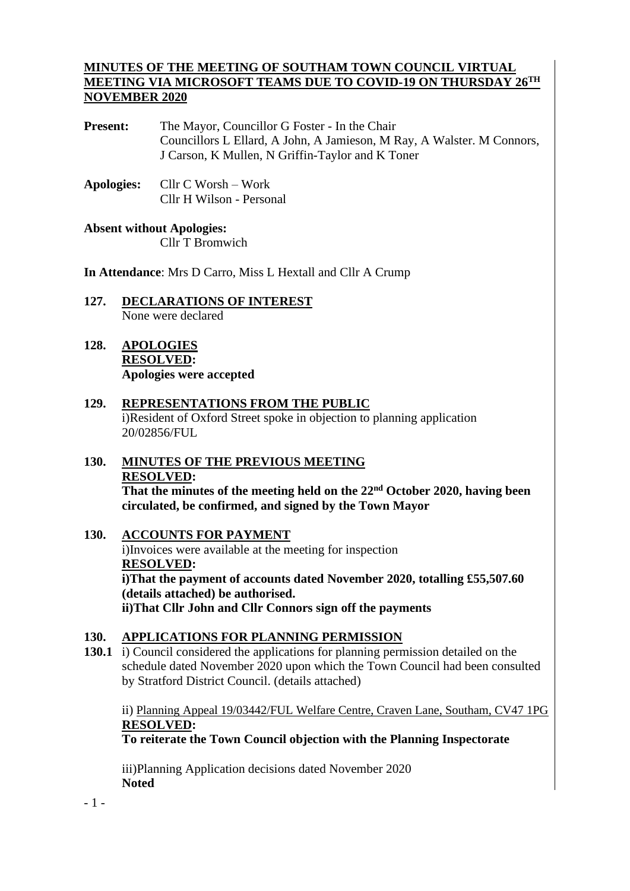### **MINUTES OF THE MEETING OF SOUTHAM TOWN COUNCIL VIRTUAL MEETING VIA MICROSOFT TEAMS DUE TO COVID-19 ON THURSDAY 26TH NOVEMBER 2020**

Present: The Mayor, Councillor G Foster - In the Chair Councillors L Ellard, A John, A Jamieson, M Ray, A Walster. M Connors, J Carson, K Mullen, N Griffin-Taylor and K Toner

**Apologies:** Cllr C Worsh – Work Cllr H Wilson - Personal

**Absent without Apologies:** Cllr T Bromwich

**In Attendance**: Mrs D Carro, Miss L Hextall and Cllr A Crump

- **127. DECLARATIONS OF INTEREST** None were declared
- **128. APOLOGIES RESOLVED: Apologies were accepted**
- **129. REPRESENTATIONS FROM THE PUBLIC** i)Resident of Oxford Street spoke in objection to planning application 20/02856/FUL
- **130. MINUTES OF THE PREVIOUS MEETING RESOLVED: That the minutes of the meeting held on the 22nd October 2020, having been circulated, be confirmed, and signed by the Town Mayor**
- **130. ACCOUNTS FOR PAYMENT** i)Invoices were available at the meeting for inspection **RESOLVED: i)That the payment of accounts dated November 2020, totalling £55,507.60 (details attached) be authorised. ii)That Cllr John and Cllr Connors sign off the payments**

### **130. APPLICATIONS FOR PLANNING PERMISSION**

**130.1** i) Council considered the applications for planning permission detailed on the schedule dated November 2020 upon which the Town Council had been consulted by Stratford District Council. (details attached)

ii) Planning Appeal 19/03442/FUL Welfare Centre, Craven Lane, Southam, CV47 1PG **RESOLVED:**

**To reiterate the Town Council objection with the Planning Inspectorate**

iii)Planning Application decisions dated November 2020 **Noted**

- 1 -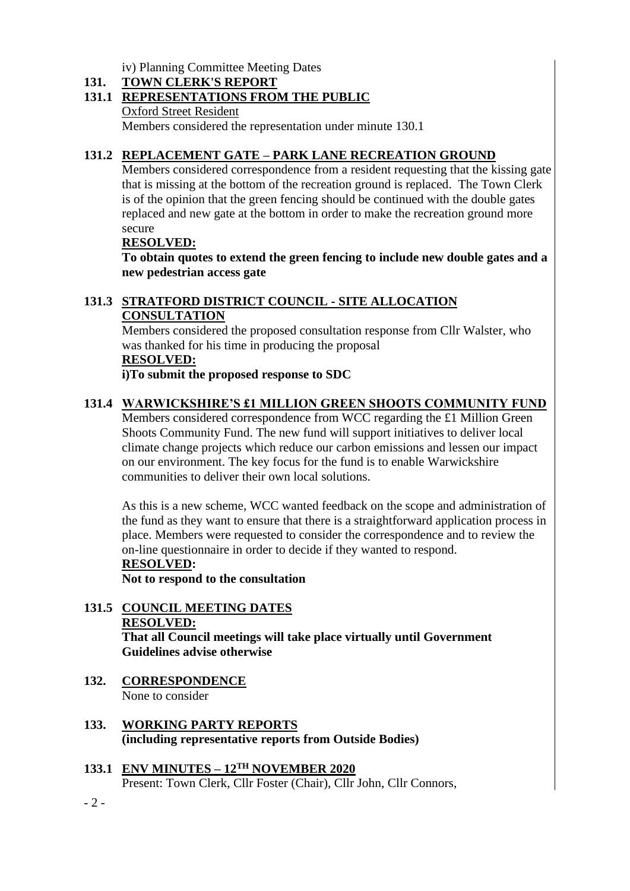iv) Planning Committee Meeting Dates

### **131. TOWN CLERK'S REPORT**

### **131.1 REPRESENTATIONS FROM THE PUBLIC**

Oxford Street Resident

Members considered the representation under minute 130.1

### **131.2 REPLACEMENT GATE – PARK LANE RECREATION GROUND**

Members considered correspondence from a resident requesting that the kissing gate that is missing at the bottom of the recreation ground is replaced. The Town Clerk is of the opinion that the green fencing should be continued with the double gates replaced and new gate at the bottom in order to make the recreation ground more secure

#### **RESOLVED:**

**To obtain quotes to extend the green fencing to include new double gates and a new pedestrian access gate**

### **131.3 STRATFORD DISTRICT COUNCIL - SITE ALLOCATION CONSULTATION**

Members considered the proposed consultation response from Cllr Walster, who was thanked for his time in producing the proposal

### **RESOLVED:**

**i)To submit the proposed response to SDC**

### **131.4 WARWICKSHIRE'S £1 MILLION GREEN SHOOTS COMMUNITY FUND**

Members considered correspondence from WCC regarding the £1 Million Green Shoots Community Fund. The new fund will support initiatives to deliver local climate change projects which reduce our carbon emissions and lessen our impact on our environment. The key focus for the fund is to enable Warwickshire communities to deliver their own local solutions.

As this is a new scheme, WCC wanted feedback on the scope and administration of the fund as they want to ensure that there is a straightforward application process in place. Members were requested to consider the correspondence and to review the on-line questionnaire in order to decide if they wanted to respond.

#### **RESOLVED:**

**Not to respond to the consultation**

#### **131.5 COUNCIL MEETING DATES RESOLVED: That all Council meetings will take place virtually until Government Guidelines advise otherwise**

- **132. CORRESPONDENCE** None to consider
- **133. WORKING PARTY REPORTS (including representative reports from Outside Bodies)**
- **133.1 ENV MINUTES – 12TH NOVEMBER 2020** Present: Town Clerk, Cllr Foster (Chair), Cllr John, Cllr Connors,

 $-2 -$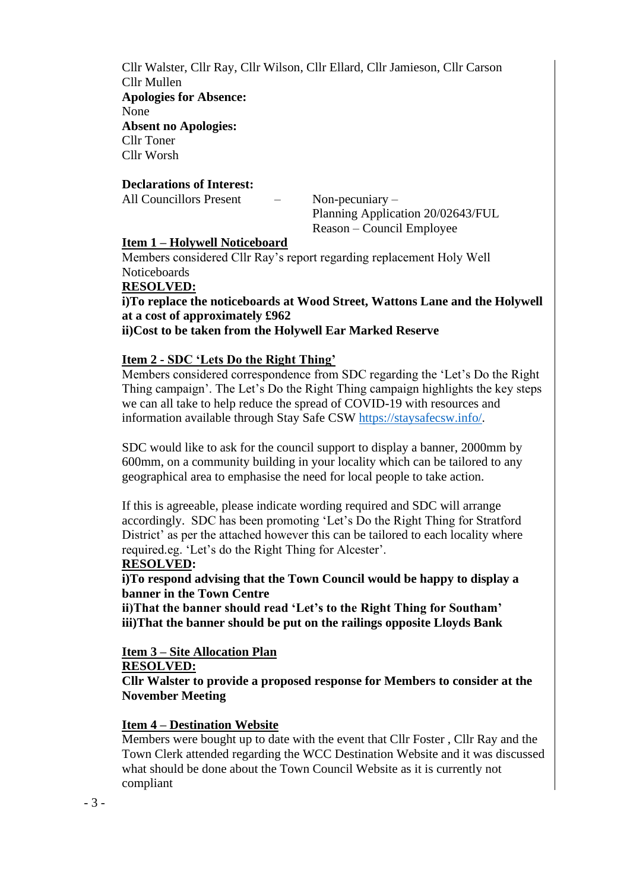Cllr Walster, Cllr Ray, Cllr Wilson, Cllr Ellard, Cllr Jamieson, Cllr Carson Cllr Mullen **Apologies for Absence:**  None **Absent no Apologies:** Cllr Toner Cllr Worsh

#### **Declarations of Interest:**

All Councillors Present – Non-pecuniary –

Planning Application 20/02643/FUL Reason – Council Employee

#### **Item 1 – Holywell Noticeboard**

Members considered Cllr Ray's report regarding replacement Holy Well Noticeboards

#### **RESOLVED:**

**i)To replace the noticeboards at Wood Street, Wattons Lane and the Holywell at a cost of approximately £962**

### **ii)Cost to be taken from the Holywell Ear Marked Reserve**

#### **Item 2 - SDC 'Lets Do the Right Thing'**

Members considered correspondence from SDC regarding the 'Let's Do the Right Thing campaign'. The Let's Do the Right Thing campaign highlights the key steps we can all take to help reduce the spread of COVID-19 with resources and information available through Stay Safe CSW [https://staysafecsw.info/.](https://staysafecsw.info/)

SDC would like to ask for the council support to display a banner, 2000mm by 600mm, on a community building in your locality which can be tailored to any geographical area to emphasise the need for local people to take action.

If this is agreeable, please indicate wording required and SDC will arrange accordingly. SDC has been promoting 'Let's Do the Right Thing for Stratford District' as per the attached however this can be tailored to each locality where required.eg. 'Let's do the Right Thing for Alcester'.

#### **RESOLVED:**

**i)To respond advising that the Town Council would be happy to display a banner in the Town Centre**

**ii)That the banner should read 'Let's to the Right Thing for Southam' iii)That the banner should be put on the railings opposite Lloyds Bank**

### **Item 3 – Site Allocation Plan**

**RESOLVED:**

**Cllr Walster to provide a proposed response for Members to consider at the November Meeting** 

### **Item 4 – Destination Website**

Members were bought up to date with the event that Cllr Foster , Cllr Ray and the Town Clerk attended regarding the WCC Destination Website and it was discussed what should be done about the Town Council Website as it is currently not compliant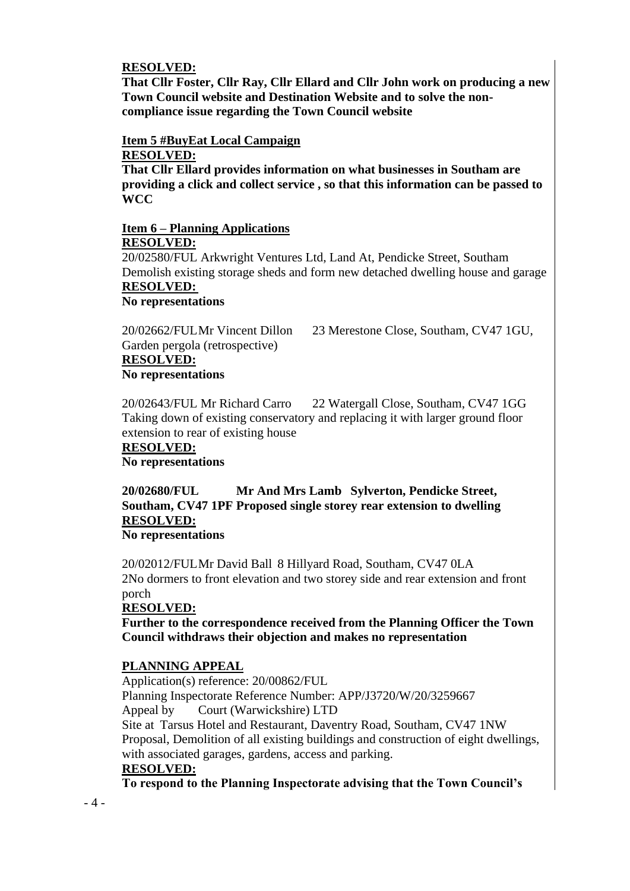#### **RESOLVED:**

**That Cllr Foster, Cllr Ray, Cllr Ellard and Cllr John work on producing a new Town Council website and Destination Website and to solve the noncompliance issue regarding the Town Council website** 

# **Item 5 #BuyEat Local Campaign**

### **RESOLVED:**

**That Cllr Ellard provides information on what businesses in Southam are providing a click and collect service , so that this information can be passed to WCC**

#### **Item 6 – Planning Applications RESOLVED:**

20/02580/FUL Arkwright Ventures Ltd, Land At, Pendicke Street, Southam Demolish existing storage sheds and form new detached dwelling house and garage **RESOLVED:**

## **No representations**

Garden pergola (retrospective) **RESOLVED: No representations**

20/02662/FULMr Vincent Dillon 23 Merestone Close, Southam, CV47 1GU,

20/02643/FUL Mr Richard Carro 22 Watergall Close, Southam, CV47 1GG Taking down of existing conservatory and replacing it with larger ground floor extension to rear of existing house

#### **RESOLVED:**

**No representations**

## **20/02680/FUL Mr And Mrs Lamb Sylverton, Pendicke Street, Southam, CV47 1PF Proposed single storey rear extension to dwelling RESOLVED:**

#### **No representations**

20/02012/FULMr David Ball 8 Hillyard Road, Southam, CV47 0LA 2No dormers to front elevation and two storey side and rear extension and front porch

#### **RESOLVED:**

**Further to the correspondence received from the Planning Officer the Town Council withdraws their objection and makes no representation**

#### **PLANNING APPEAL**

Application(s) reference: 20/00862/FUL Planning Inspectorate Reference Number: APP/J3720/W/20/3259667 Appeal by Court (Warwickshire) LTD Site at Tarsus Hotel and Restaurant, Daventry Road, Southam, CV47 1NW Proposal, Demolition of all existing buildings and construction of eight dwellings, with associated garages, gardens, access and parking.

#### **RESOLVED:**

**To respond to the Planning Inspectorate advising that the Town Council's**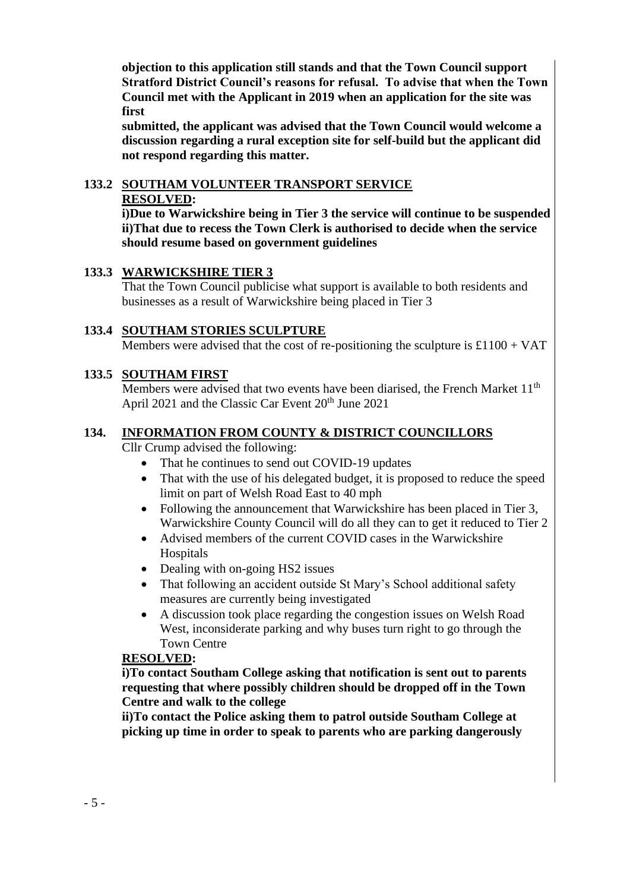**objection to this application still stands and that the Town Council support Stratford District Council's reasons for refusal. To advise that when the Town Council met with the Applicant in 2019 when an application for the site was first** 

**submitted, the applicant was advised that the Town Council would welcome a discussion regarding a rural exception site for self-build but the applicant did not respond regarding this matter.**

## **133.2 SOUTHAM VOLUNTEER TRANSPORT SERVICE RESOLVED:**

**i)Due to Warwickshire being in Tier 3 the service will continue to be suspended ii)That due to recess the Town Clerk is authorised to decide when the service should resume based on government guidelines**

### **133.3 WARWICKSHIRE TIER 3**

That the Town Council publicise what support is available to both residents and businesses as a result of Warwickshire being placed in Tier 3

### **133.4 SOUTHAM STORIES SCULPTURE**

Members were advised that the cost of re-positioning the sculpture is  $£1100 + VAT$ 

### **133.5 SOUTHAM FIRST**

Members were advised that two events have been diarised, the French Market 11<sup>th</sup> April 2021 and the Classic Car Event  $20^{th}$  June 2021

### **134. INFORMATION FROM COUNTY & DISTRICT COUNCILLORS**

Cllr Crump advised the following:

- That he continues to send out COVID-19 updates
- That with the use of his delegated budget, it is proposed to reduce the speed limit on part of Welsh Road East to 40 mph
- Following the announcement that Warwickshire has been placed in Tier 3, Warwickshire County Council will do all they can to get it reduced to Tier 2
- Advised members of the current COVID cases in the Warwickshire Hospitals
- Dealing with on-going HS2 issues
- That following an accident outside St Mary's School additional safety measures are currently being investigated
- A discussion took place regarding the congestion issues on Welsh Road West, inconsiderate parking and why buses turn right to go through the Town Centre

### **RESOLVED:**

**i)To contact Southam College asking that notification is sent out to parents requesting that where possibly children should be dropped off in the Town Centre and walk to the college**

**ii)To contact the Police asking them to patrol outside Southam College at picking up time in order to speak to parents who are parking dangerously**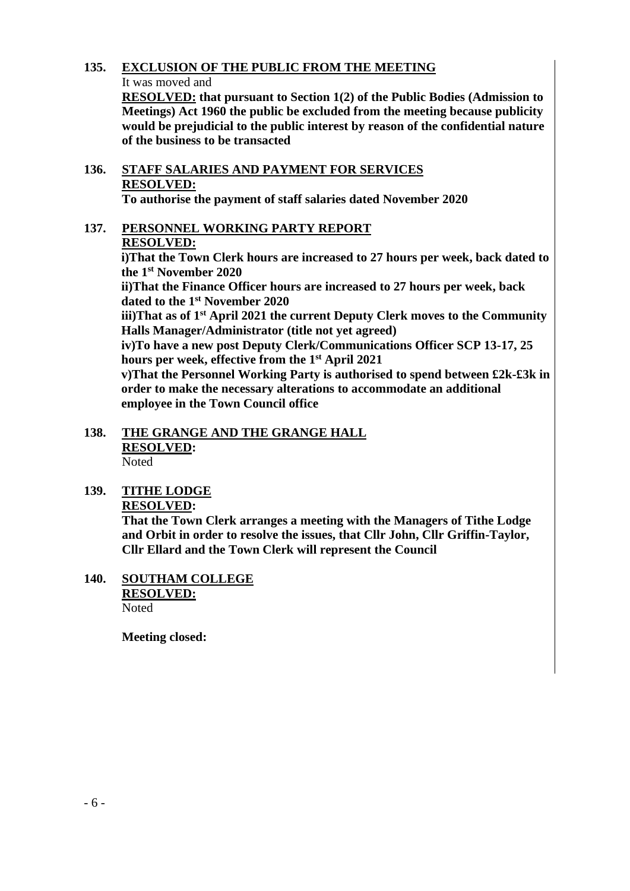### **135. EXCLUSION OF THE PUBLIC FROM THE MEETING**

#### It was moved and

**RESOLVED: that pursuant to Section 1(2) of the Public Bodies (Admission to Meetings) Act 1960 the public be excluded from the meeting because publicity would be prejudicial to the public interest by reason of the confidential nature of the business to be transacted**

# **136. STAFF SALARIES AND PAYMENT FOR SERVICES RESOLVED:**

**To authorise the payment of staff salaries dated November 2020**

### **137. PERSONNEL WORKING PARTY REPORT RESOLVED:**

**i)That the Town Clerk hours are increased to 27 hours per week, back dated to the 1st November 2020**

**ii)That the Finance Officer hours are increased to 27 hours per week, back dated to the 1st November 2020**

**iii)That as of 1st April 2021 the current Deputy Clerk moves to the Community Halls Manager/Administrator (title not yet agreed)**

**iv)To have a new post Deputy Clerk/Communications Officer SCP 13-17, 25 hours per week, effective from the 1st April 2021**

**v)That the Personnel Working Party is authorised to spend between £2k-£3k in order to make the necessary alterations to accommodate an additional employee in the Town Council office**

#### **138. THE GRANGE AND THE GRANGE HALL RESOLVED:** Noted

### **139. TITHE LODGE RESOLVED:**

**That the Town Clerk arranges a meeting with the Managers of Tithe Lodge and Orbit in order to resolve the issues, that Cllr John, Cllr Griffin-Taylor, Cllr Ellard and the Town Clerk will represent the Council**

**140. SOUTHAM COLLEGE RESOLVED:** Noted

**Meeting closed:**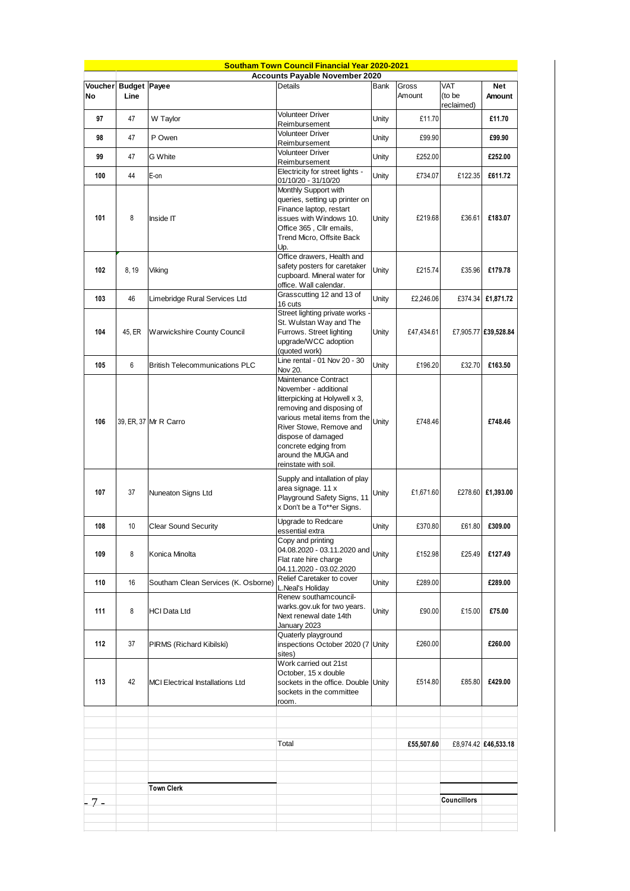|                                   |        |                                         | <b>Southam Town Council Financial Year 2020-2021</b>                                                                                                                                                                                                                 |       |                 |                                    |                      |
|-----------------------------------|--------|-----------------------------------------|----------------------------------------------------------------------------------------------------------------------------------------------------------------------------------------------------------------------------------------------------------------------|-------|-----------------|------------------------------------|----------------------|
|                                   |        |                                         | <b>Accounts Payable November 2020</b>                                                                                                                                                                                                                                |       |                 |                                    |                      |
| Voucher Budget Payee<br><b>No</b> | Line   |                                         | Details                                                                                                                                                                                                                                                              | Bank  | Gross<br>Amount | <b>VAT</b><br>(to be<br>reclaimed) | <b>Net</b><br>Amount |
| 97                                | 47     | W Taylor                                | <b>Volunteer Driver</b><br>Reimbursement                                                                                                                                                                                                                             | Unity | £11.70          |                                    | £11.70               |
| 98                                | 47     | P Owen                                  | <b>Volunteer Driver</b><br>Reimbursement                                                                                                                                                                                                                             | Unity | £99.90          |                                    | £99.90               |
| 99                                | 47     | G White                                 | <b>Volunteer Driver</b><br>Reimbursement                                                                                                                                                                                                                             | Unity | £252.00         |                                    | £252.00              |
| 100                               | 44     | E-on                                    | Electricity for street lights -<br>01/10/20 - 31/10/20                                                                                                                                                                                                               | Unity | £734.07         | £122.35                            | £611.72              |
| 101                               | 8      | Inside IT                               | Monthly Support with<br>queries, setting up printer on<br>Finance laptop, restart<br>issues with Windows 10.<br>Office 365, Cllr emails,<br>Trend Micro, Offsite Back<br>Up.                                                                                         | Unity | £219.68         | £36.61                             | £183.07              |
| 102                               | 8, 19  | Viking                                  | Office drawers, Health and<br>safety posters for caretaker<br>cupboard. Mineral water for<br>office. Wall calendar.                                                                                                                                                  | Unity | £215.74         | £35.96                             | £179.78              |
| 103                               | 46     | Limebridge Rural Services Ltd           | Grasscutting 12 and 13 of<br>16 cuts                                                                                                                                                                                                                                 | Unity | £2,246.06       | £374.34                            | £1,871.72            |
| 104                               | 45, ER | <b>Warwickshire County Council</b>      | Street lighting private works -<br>St. Wulstan Way and The<br>Furrows. Street lighting<br>upgrade/WCC adoption<br>(quoted work)                                                                                                                                      | Unity | £47,434.61      |                                    | £7,905.77 £39,528.84 |
| 105                               | 6      | <b>British Telecommunications PLC</b>   | Line rental - 01 Nov 20 - 30<br>Nov 20.                                                                                                                                                                                                                              | Unity | £196.20         | £32.70                             | £163.50              |
| 106                               |        | 39, ER, 37 Mr R Carro                   | Maintenance Contract<br>November - additional<br>litterpicking at Holywell x 3,<br>removing and disposing of<br>various metal items from the<br>River Stowe, Remove and<br>dispose of damaged<br>concrete edging from<br>around the MUGA and<br>reinstate with soil. | Unity | £748.46         |                                    | £748.46              |
| 107                               | 37     | Nuneaton Signs Ltd                      | Supply and intallation of play<br>area signage. 11 x<br>Playground Safety Signs, 11<br>x Don't be a To**er Signs.                                                                                                                                                    | Unity | £1,671.60       | £278.60                            | £1,393.00            |
| 108                               | 10     | <b>Clear Sound Security</b>             | Upgrade to Redcare<br>essential extra                                                                                                                                                                                                                                | Unity | £370.80         | £61.80                             | £309.00              |
| 109                               | 8      | Konica Minolta                          | Copy and printing<br>04.08.2020 - 03.11.2020 and<br>Flat rate hire charge<br>04.11.2020 - 03.02.2020                                                                                                                                                                 | Unity | £152.98         | £25.49                             | £127.49              |
| 110                               | 16     | Southam Clean Services (K. Osborne)     | Relief Caretaker to cover<br>L.Neal's Holiday                                                                                                                                                                                                                        | Unity | £289.00         |                                    | £289.00              |
| 111                               | 8      | <b>HCI Data Ltd</b>                     | Renew southamcouncil-<br>warks.gov.uk for two years.<br>Next renewal date 14th<br>January 2023                                                                                                                                                                       | Unity | £90.00          | £15.00                             | £75.00               |
| 112                               | 37     | PIRMS (Richard Kibilski)                | Quaterly playground<br>inspections October 2020 (7 Unity<br>sites)                                                                                                                                                                                                   |       | £260.00         |                                    | £260.00              |
| 113                               | 42     | <b>MCI Electrical Installations Ltd</b> | Work carried out 21st<br>October, 15 x double<br>sockets in the office. Double Unity<br>sockets in the committee<br>room.                                                                                                                                            |       | £514.80         | £85.80                             | £429.00              |
|                                   |        |                                         | Total                                                                                                                                                                                                                                                                |       | £55,507.60      |                                    | £8,974.42 £46,533.18 |
|                                   |        |                                         |                                                                                                                                                                                                                                                                      |       |                 |                                    |                      |
| $7-$                              |        | <b>Town Clerk</b>                       |                                                                                                                                                                                                                                                                      |       |                 | <b>Councillors</b>                 |                      |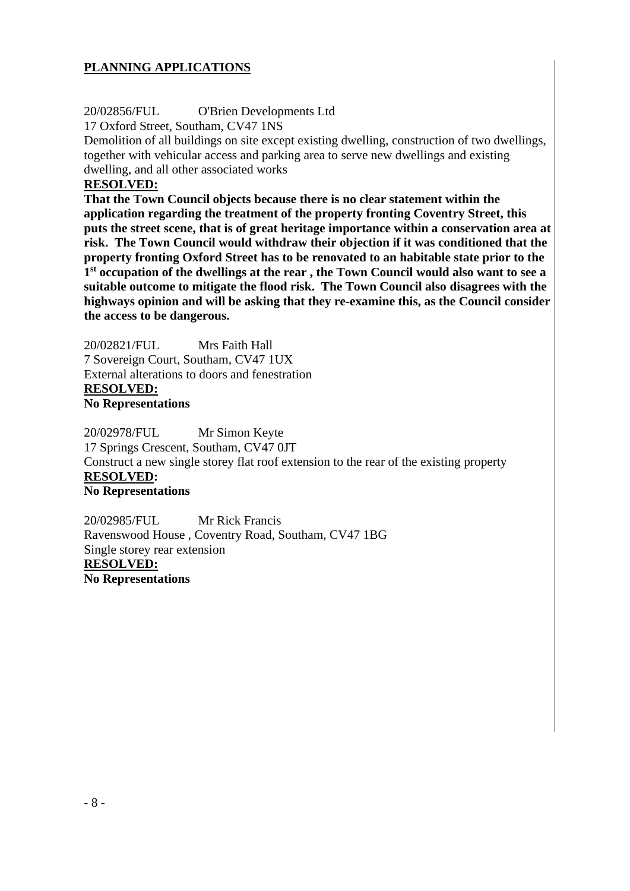### **PLANNING APPLICATIONS**

### 20/02856/FUL O'Brien Developments Ltd

17 Oxford Street, Southam, CV47 1NS

Demolition of all buildings on site except existing dwelling, construction of two dwellings, together with vehicular access and parking area to serve new dwellings and existing dwelling, and all other associated works

### **RESOLVED:**

**That the Town Council objects because there is no clear statement within the application regarding the treatment of the property fronting Coventry Street, this puts the street scene, that is of great heritage importance within a conservation area at risk. The Town Council would withdraw their objection if it was conditioned that the property fronting Oxford Street has to be renovated to an habitable state prior to the 1 st occupation of the dwellings at the rear , the Town Council would also want to see a suitable outcome to mitigate the flood risk. The Town Council also disagrees with the highways opinion and will be asking that they re-examine this, as the Council consider the access to be dangerous.**

20/02821/FUL Mrs Faith Hall 7 Sovereign Court, Southam, CV47 1UX External alterations to doors and fenestration **RESOLVED: No Representations**

20/02978/FUL Mr Simon Keyte 17 Springs Crescent, Southam, CV47 0JT Construct a new single storey flat roof extension to the rear of the existing property **RESOLVED: No Representations** 

20/02985/FUL Mr Rick Francis Ravenswood House , Coventry Road, Southam, CV47 1BG Single storey rear extension **RESOLVED: No Representations**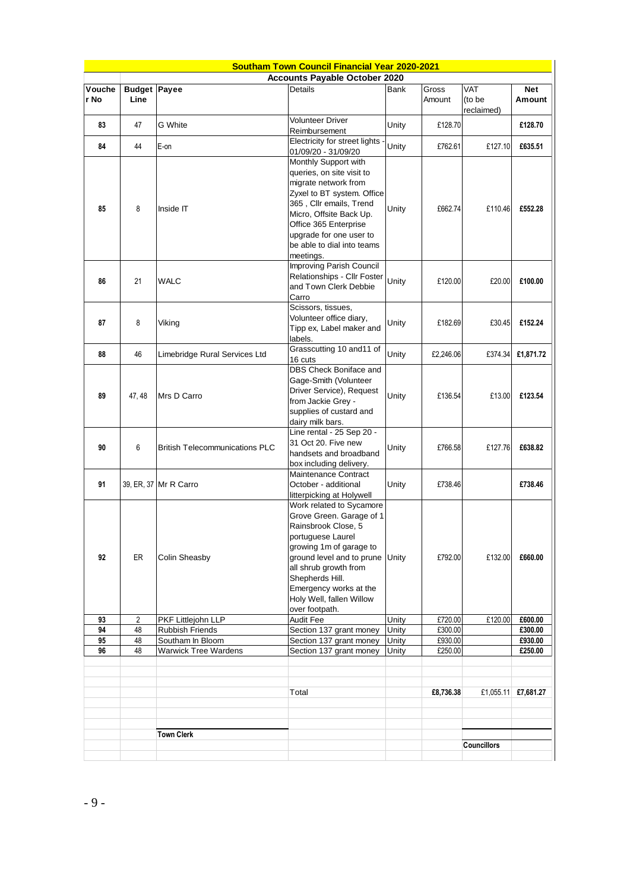|                |                                      |                                            | <b>Southam Town Council Financial Year 2020-2021</b>                                                                                                                                                                                                                         |                |                    |                             |                      |
|----------------|--------------------------------------|--------------------------------------------|------------------------------------------------------------------------------------------------------------------------------------------------------------------------------------------------------------------------------------------------------------------------------|----------------|--------------------|-----------------------------|----------------------|
|                | <b>Accounts Payable October 2020</b> |                                            |                                                                                                                                                                                                                                                                              |                |                    |                             |                      |
| Vouche<br>r No | <b>Budget Payee</b><br>Line          |                                            | Details                                                                                                                                                                                                                                                                      | Bank           | Gross<br>Amount    | VAT<br>(to be<br>reclaimed) | <b>Net</b><br>Amount |
| 83             | 47                                   | G White                                    | <b>Volunteer Driver</b><br>Reimbursement                                                                                                                                                                                                                                     | Unity          | £128.70            |                             | £128.70              |
| 84             | 44                                   | E-on                                       | Electricity for street lights -<br>01/09/20 - 31/09/20                                                                                                                                                                                                                       | Unity          | £762.61            | £127.10                     | £635.51              |
| 85             | 8                                    | Inside IT                                  | Monthly Support with<br>queries, on site visit to<br>migrate network from<br>Zyxel to BT system. Office<br>365, Cllr emails, Trend<br>Micro, Offsite Back Up.<br>Office 365 Enterprise<br>upgrade for one user to<br>be able to dial into teams<br>meetings.                 | Unity          | £662.74            | £110.46                     | £552.28              |
| 86             | 21                                   | <b>WALC</b>                                | Improving Parish Council<br>Relationships - Cllr Foster<br>and Town Clerk Debbie<br>Carro                                                                                                                                                                                    | Unity          | £120.00            | £20.00                      | £100.00              |
| 87             | 8                                    | Viking                                     | Scissors, tissues,<br>Volunteer office diary,<br>Tipp ex, Label maker and<br>labels.                                                                                                                                                                                         | Unity          | £182.69            | £30.45                      | £152.24              |
| 88             | 46                                   | Limebridge Rural Services Ltd              | Grasscutting 10 and11 of<br>16 cuts                                                                                                                                                                                                                                          | Unity          | £2,246.06          | £374.34                     | £1,871.72            |
| 89             | 47, 48                               | Mrs D Carro                                | DBS Check Boniface and<br>Gage-Smith (Volunteer<br>Driver Service), Request<br>from Jackie Grey -<br>supplies of custard and<br>dairy milk bars.                                                                                                                             | Unity          | £136.54            | £13.00                      | £123.54              |
| 90             | 6                                    | <b>British Telecommunications PLC</b>      | Line rental - 25 Sep 20 -<br>31 Oct 20. Five new<br>handsets and broadband<br>box including delivery.                                                                                                                                                                        | Unity          | £766.58            | £127.76                     | £638.82              |
| 91             |                                      | 39, ER, 37 Mr R Carro                      | Maintenance Contract<br>October - additional<br>litterpicking at Holywell                                                                                                                                                                                                    | Unity          | £738.46            |                             | £738.46              |
| 92             | ER                                   | Colin Sheasby                              | Work related to Sycamore<br>Grove Green. Garage of 1<br>Rainsbrook Close, 5<br>portuguese Laurel<br>growing 1m of garage to<br>ground level and to prune<br>all shrub growth from<br>Shepherds Hill.<br>Emergency works at the<br>Holy Well, fallen Willow<br>over footpath. | Unity          | £792.00            | £132.00                     | £660.00              |
| 93             | $\overline{2}$                       | PKF Littlejohn LLP                         | Audit Fee                                                                                                                                                                                                                                                                    | Unity          | £720.00            | £120.00                     | £600.00              |
| 94             | 48                                   | <b>Rubbish Friends</b><br>Southam In Bloom | Section 137 grant money                                                                                                                                                                                                                                                      | Unity          | £300.00            |                             | £300.00              |
| 95<br>96       | 48<br>48                             | <b>Warwick Tree Wardens</b>                | Section 137 grant money<br>Section 137 grant money                                                                                                                                                                                                                           | Unity<br>Unity | £930.00<br>£250.00 |                             | £930.00<br>£250.00   |
|                |                                      | <b>Town Clerk</b>                          | Total                                                                                                                                                                                                                                                                        |                | £8,736.38          | £1,055.11                   | £7,681.27            |
|                |                                      |                                            |                                                                                                                                                                                                                                                                              |                |                    | <b>Councillors</b>          |                      |